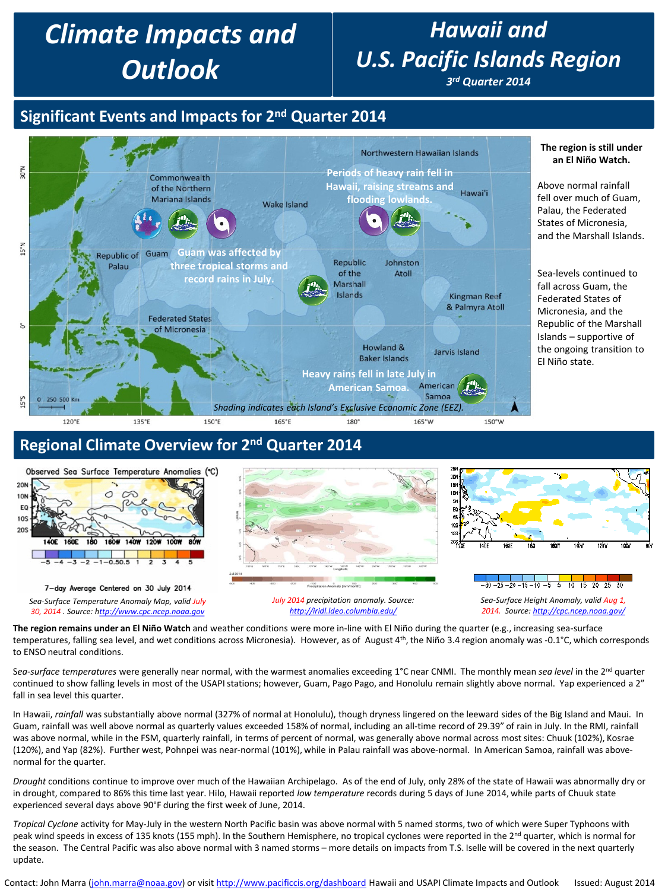# *Climate Impacts and Outlook*

# *Hawaii and U.S. Pacific Islands Region*

*3rd Quarter 2014*

**The region is still under an El Niño Watch.**

# **Significant Events and Impacts for 2nd Quarter 2014**



### **Regional Climate Overview for 2nd Quarter 2014**



**The region remains under an El Niño Watch** and weather conditions were more in-line with El Niño during the quarter (e.g., increasing sea-surface temperatures, falling sea level, and wet conditions across Micronesia). However, as of August 4<sup>th</sup>, the Niño 3.4 region anomaly was -0.1°C, which corresponds to ENSO neutral conditions.

Sea-surface temperatures were generally near normal, with the warmest anomalies exceeding 1°C near CNMI. The monthly mean sea level in the 2<sup>nd</sup> quarter continued to show falling levels in most of the USAPI stations; however, Guam, Pago Pago, and Honolulu remain slightly above normal. Yap experienced a 2" fall in sea level this quarter.

In Hawaii, *rainfall* was substantially above normal (327% of normal at Honolulu), though dryness lingered on the leeward sides of the Big Island and Maui. In Guam, rainfall was well above normal as quarterly values exceeded 158% of normal, including an all-time record of 29.39" of rain in July. In the RMI, rainfall was above normal, while in the FSM, quarterly rainfall, in terms of percent of normal, was generally above normal across most sites: Chuuk (102%), Kosrae (120%), and Yap (82%). Further west, Pohnpei was near-normal (101%), while in Palau rainfall was above-normal. In American Samoa, rainfall was abovenormal for the quarter.

*Drought* conditions continue to improve over much of the Hawaiian Archipelago. As of the end of July, only 28% of the state of Hawaii was abnormally dry or in drought, compared to 86% this time last year. Hilo, Hawaii reported *low temperature* records during 5 days of June 2014, while parts of Chuuk state experienced several days above 90°F during the first week of June, 2014.

*Tropical Cyclone* activity for May-July in the western North Pacific basin was above normal with 5 named storms, two of which were Super Typhoons with peak wind speeds in excess of 135 knots (155 mph). In the Southern Hemisphere, no tropical cyclones were reported in the 2<sup>nd</sup> quarter, which is normal for the season. The Central Pacific was also above normal with 3 named storms – more details on impacts from T.S. Iselle will be covered in the next quarterly update.